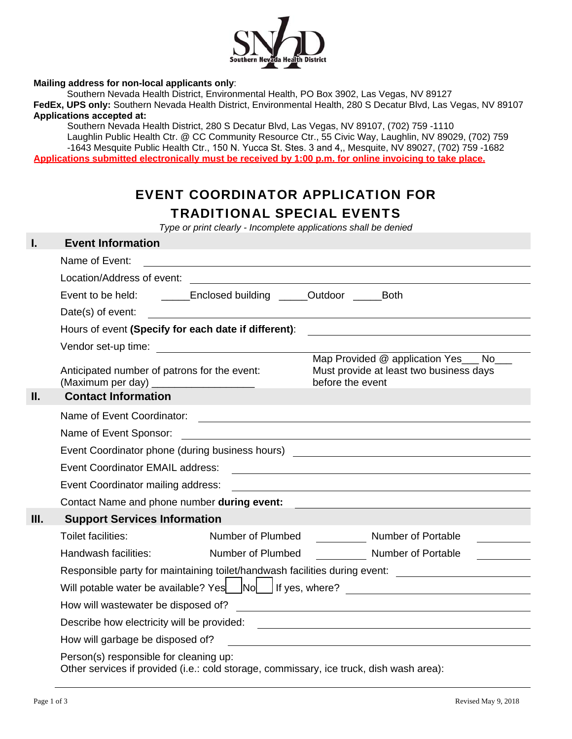

## **Mailing address for non-local applicants only**:

Southern Nevada Health District, Environmental Health, PO Box 3902, Las Vegas, NV 89127

**FedEx, UPS only:** Southern Nevada Health District, Environmental Health, 280 S Decatur Blvd, Las Vegas, NV 89107 **Applications accepted at:** 

Southern Nevada Health District, 280 S Decatur Blvd, Las Vegas, NV 89107, (702) 759 -1110 Laughlin Public Health Ctr. @ CC Community Resource Ctr., 55 Civic Way, Laughlin, NV 89029, (702) 759 -1643 Mesquite Public Health Ctr., 150 N. Yucca St. Stes. 3 and 4,, Mesquite, NV 89027, (702) 759 -1682 **Applications submitted electronically must be received by 1:00 p.m. for online invoicing to take place.** 

## EVENT COORDINATOR APPLICATION FOR TRADITIONAL SPECIAL EVENTS

*Type or print clearly - Incomplete applications shall be denied* 

| I.   | <b>Event Information</b>                                                                                                          |                                                             |                  |                                                                                                                       |
|------|-----------------------------------------------------------------------------------------------------------------------------------|-------------------------------------------------------------|------------------|-----------------------------------------------------------------------------------------------------------------------|
|      | Name of Event:<br><u> 1989 - Johann Stoff, amerikansk politiker (d. 1989)</u>                                                     |                                                             |                  |                                                                                                                       |
|      | Location/Address of event:<br><u> 1989 - John Stein, Amerikaansk politiker (* 1918)</u>                                           |                                                             |                  |                                                                                                                       |
|      | Event to be held: _________Enclosed building _______Outdoor ________Both                                                          |                                                             |                  |                                                                                                                       |
|      | Date(s) of event:                                                                                                                 |                                                             |                  |                                                                                                                       |
|      | Hours of event (Specify for each date if different):                                                                              |                                                             |                  | <u>and the state of the state of the state of the state of the state of the state of the state of the state of th</u> |
|      |                                                                                                                                   |                                                             |                  |                                                                                                                       |
|      | Anticipated number of patrons for the event:<br>(Maximum per day) ______________________                                          |                                                             | before the event | Map Provided @ application Yes ___ No___<br>Must provide at least two business days                                   |
| Н.   | <b>Contact Information</b>                                                                                                        |                                                             |                  |                                                                                                                       |
|      |                                                                                                                                   |                                                             |                  |                                                                                                                       |
|      | Name of Event Sponsor:                                                                                                            | <u> 1980 - Jan Barbara Barat, martxa amerikan bashkar (</u> |                  |                                                                                                                       |
|      |                                                                                                                                   |                                                             |                  | Event Coordinator phone (during business hours) ________________________________                                      |
|      | Event Coordinator EMAIL address:                                                                                                  |                                                             |                  | <u> 1989 - Jan Sterlinger, skrivatsk politik (d. 1989)</u>                                                            |
|      |                                                                                                                                   |                                                             |                  |                                                                                                                       |
|      | Contact Name and phone number during event:                                                                                       |                                                             |                  |                                                                                                                       |
| III. | <b>Support Services Information</b>                                                                                               |                                                             |                  |                                                                                                                       |
|      | Toilet facilities:                                                                                                                | Number of Plumbed                                           |                  | Number of Portable                                                                                                    |
|      | Handwash facilities:                                                                                                              | Number of Plumbed                                           |                  | <b>Number of Portable</b>                                                                                             |
|      | Responsible party for maintaining toilet/handwash facilities during event: ________________________                               |                                                             |                  |                                                                                                                       |
|      | Will potable water be available? Yes No Struck Struck Struck Struck Struck Struck Struck Struck Struck Struck                     |                                                             |                  |                                                                                                                       |
|      |                                                                                                                                   |                                                             |                  |                                                                                                                       |
|      | Describe how electricity will be provided:                                                                                        |                                                             |                  |                                                                                                                       |
|      |                                                                                                                                   |                                                             |                  |                                                                                                                       |
|      | Person(s) responsible for cleaning up:<br>Other services if provided (i.e.: cold storage, commissary, ice truck, dish wash area): |                                                             |                  |                                                                                                                       |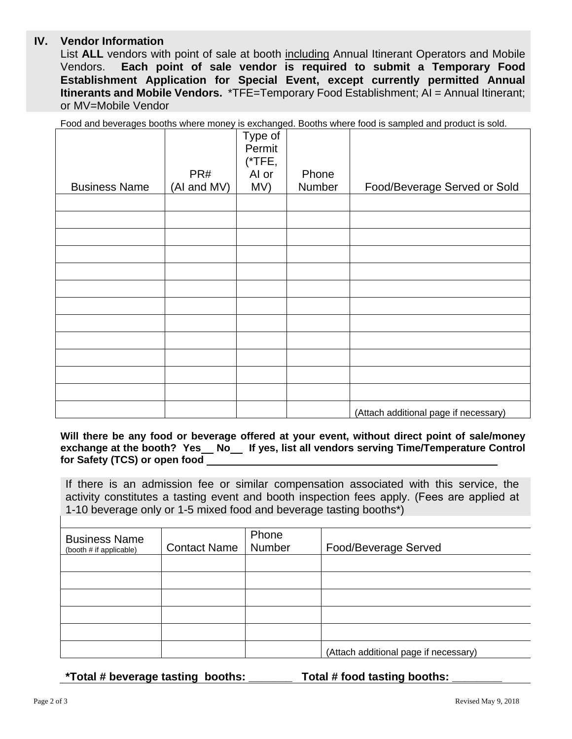## **IV. Vendor Information**

List **ALL** vendors with point of sale at booth including Annual Itinerant Operators and Mobile Vendors. **Each point of sale vendor is required to submit a Temporary Food Establishment Application for Special Event, except currently permitted Annual Itinerants and Mobile Vendors.** \*TFE=Temporary Food Establishment; AI = Annual Itinerant; or MV=Mobile Vendor

Food and beverages booths where money is exchanged. Booths where food is sampled and product is sold.

|                      |             | Type of<br>Permit<br>$(*$ TFE, |        |                                       |
|----------------------|-------------|--------------------------------|--------|---------------------------------------|
|                      | PR#         | Al or                          | Phone  |                                       |
| <b>Business Name</b> | (AI and MV) | MV)                            | Number | Food/Beverage Served or Sold          |
|                      |             |                                |        |                                       |
|                      |             |                                |        |                                       |
|                      |             |                                |        |                                       |
|                      |             |                                |        |                                       |
|                      |             |                                |        |                                       |
|                      |             |                                |        |                                       |
|                      |             |                                |        |                                       |
|                      |             |                                |        |                                       |
|                      |             |                                |        |                                       |
|                      |             |                                |        |                                       |
|                      |             |                                |        |                                       |
|                      |             |                                |        |                                       |
|                      |             |                                |        | (Attach additional page if necessary) |

**Will there be any food or beverage offered at your event, without direct point of sale/money**  exchange at the booth? Yes\_ No\_ If yes, list all vendors serving Time/Temperature Control **for Safety (TCS) or open food** 

If there is an admission fee or similar compensation associated with this service, the activity constitutes a tasting event and booth inspection fees apply. (Fees are applied at 1-10 beverage only or 1-5 mixed food and beverage tasting booths\*)

| <b>Business Name</b><br>(booth # if applicable) | <b>Contact Name</b> | Phone<br>Number | Food/Beverage Served                  |
|-------------------------------------------------|---------------------|-----------------|---------------------------------------|
|                                                 |                     |                 |                                       |
|                                                 |                     |                 |                                       |
|                                                 |                     |                 |                                       |
|                                                 |                     |                 |                                       |
|                                                 |                     |                 |                                       |
|                                                 |                     |                 | (Attach additional page if necessary) |

**\*Total # beverage tasting booths: \_\_\_\_\_\_\_ Total # food tasting booths: \_\_\_\_\_\_\_\_**